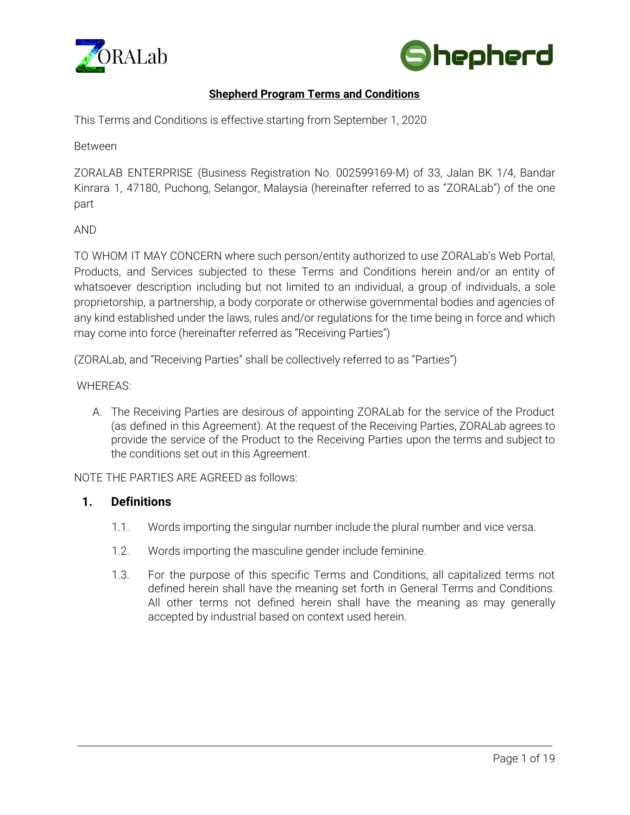



# **Shepherd Program Terms and Conditions**

This Terms and Conditions is effective starting from September 1, 2020

Between

ZORALAB ENTERPRISE (Business Registration No. 002599169-M) of 33, Jalan BK 1/4, Bandar Kinrara 1, 47180, Puchong, Selangor, Malaysia (hereinafter referred to as "ZORALab") of the one part

AND

TO WHOM IT MAY CONCERN where such person/entity authorized to use ZORALab's Web Portal, Products, and Services subjected to these Terms and Conditions herein and/or an entity of whatsoever description including but not limited to an individual, a group of individuals, a sole proprietorship, a partnership, a body corporate or otherwise governmental bodies and agencies of any kind established under the laws, rules and/or regulations for the time being in force and which may come into force (hereinafter referred as "Receiving Parties")

(ZORALab, and "Receiving Parties" shall be collectively referred to as "Parties")

#### WHEREAS:

A. The Receiving Parties are desirous of appointing ZORALab for the service of the Product (as defined in this Agreement). At the request of the Receiving Parties, ZORALab agrees to provide the service of the Product to the Receiving Parties upon the terms and subject to the conditions set out in this Agreement.

NOTE THE PARTIES ARE AGREED as follows:

#### **1. Definitions**

- 1.1. Words importing the singular number include the plural number and vice versa.
- 1.2. Words importing the masculine gender include feminine.
- 1.3. For the purpose of this specific Terms and Conditions, all capitalized terms not defined herein shall have the meaning set forth in General Terms and Conditions. All other terms not defined herein shall have the meaning as may generally accepted by industrial based on context used herein.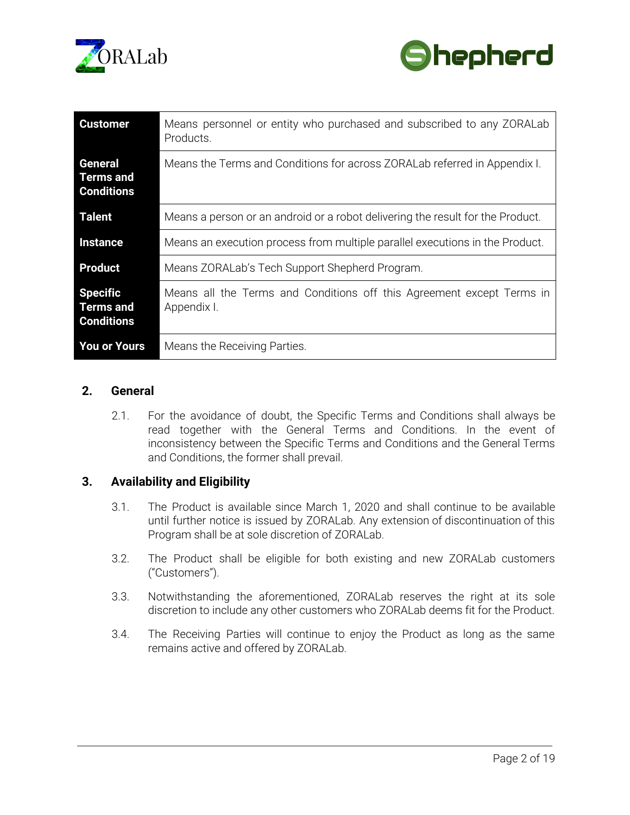



| <b>Customer</b>                                          | Means personnel or entity who purchased and subscribed to any ZORALab<br>Products.   |
|----------------------------------------------------------|--------------------------------------------------------------------------------------|
| <b>General</b><br>Terms and<br><b>Conditions</b>         | Means the Terms and Conditions for across ZORALab referred in Appendix I.            |
| <b>Talent</b>                                            | Means a person or an android or a robot delivering the result for the Product.       |
| <b>Instance</b>                                          | Means an execution process from multiple parallel executions in the Product.         |
| <b>Product</b>                                           | Means ZORALab's Tech Support Shepherd Program.                                       |
| <b>Specific</b><br><b>Terms and</b><br><b>Conditions</b> | Means all the Terms and Conditions off this Agreement except Terms in<br>Appendix I. |
| <b>You or Yours</b>                                      | Means the Receiving Parties.                                                         |

### **2. General**

2.1. For the avoidance of doubt, the Specific Terms and Conditions shall always be read together with the General Terms and Conditions. In the event of inconsistency between the Specific Terms and Conditions and the General Terms and Conditions, the former shall prevail.

## **3. Availability and Eligibility**

- 3.1. The Product is available since March 1, 2020 and shall continue to be available until further notice is issued by ZORALab. Any extension of discontinuation of this Program shall be at sole discretion of ZORALab.
- 3.2. The Product shall be eligible for both existing and new ZORALab customers ("Customers").
- 3.3. Notwithstanding the aforementioned, ZORALab reserves the right at its sole discretion to include any other customers who ZORALab deems fit for the Product.
- 3.4. The Receiving Parties will continue to enjoy the Product as long as the same remains active and offered by ZORALab.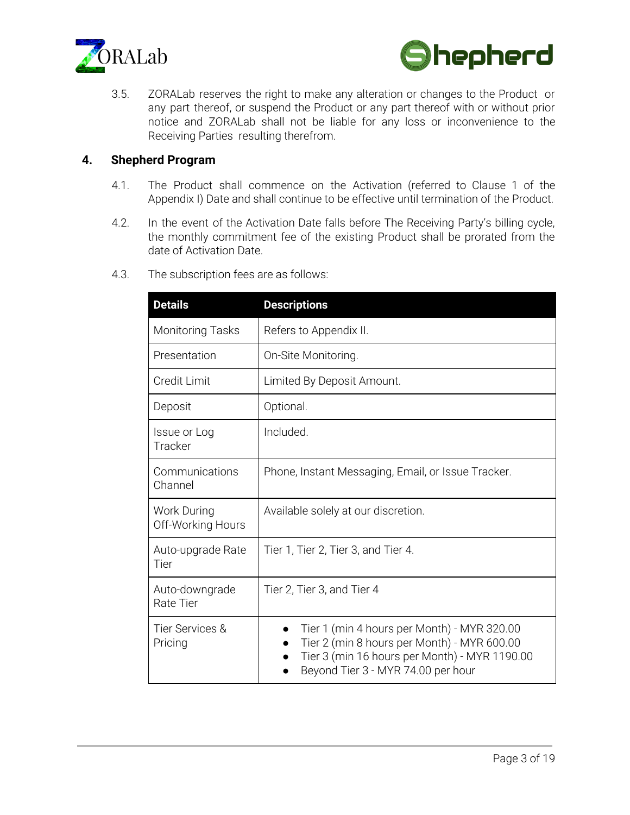



3.5. ZORALab reserves the right to make any alteration or changes to the Product or any part thereof, or suspend the Product or any part thereof with or without prior notice and ZORALab shall not be liable for any loss or inconvenience to the Receiving Parties resulting therefrom.

### **4. Shepherd Program**

- 4.1. The Product shall commence on the Activation (referred to Clause 1 of the Appendix I) Date and shall continue to be effective until termination of the Product.
- 4.2. In the event of the Activation Date falls before The Receiving Party's billing cycle, the monthly commitment fee of the existing Product shall be prorated from the date of Activation Date.

| <b>Details</b>                          | <b>Descriptions</b>                                                                                                                                                               |
|-----------------------------------------|-----------------------------------------------------------------------------------------------------------------------------------------------------------------------------------|
| <b>Monitoring Tasks</b>                 | Refers to Appendix II.                                                                                                                                                            |
| Presentation                            | On-Site Monitoring.                                                                                                                                                               |
| <b>Credit Limit</b>                     | Limited By Deposit Amount.                                                                                                                                                        |
| Deposit                                 | Optional.                                                                                                                                                                         |
| Issue or Log<br>Tracker                 | Included.                                                                                                                                                                         |
| Communications<br>Channel               | Phone, Instant Messaging, Email, or Issue Tracker.                                                                                                                                |
| <b>Work During</b><br>Off-Working Hours | Available solely at our discretion.                                                                                                                                               |
| Auto-upgrade Rate<br>Tier               | Tier 1, Tier 2, Tier 3, and Tier 4.                                                                                                                                               |
| Auto-downgrade<br><b>Rate Tier</b>      | Tier 2, Tier 3, and Tier 4                                                                                                                                                        |
| Tier Services &<br>Pricing              | Tier 1 (min 4 hours per Month) - MYR 320.00<br>Tier 2 (min 8 hours per Month) - MYR 600.00<br>Tier 3 (min 16 hours per Month) - MYR 1190.00<br>Beyond Tier 3 - MYR 74.00 per hour |

4.3. The subscription fees are as follows: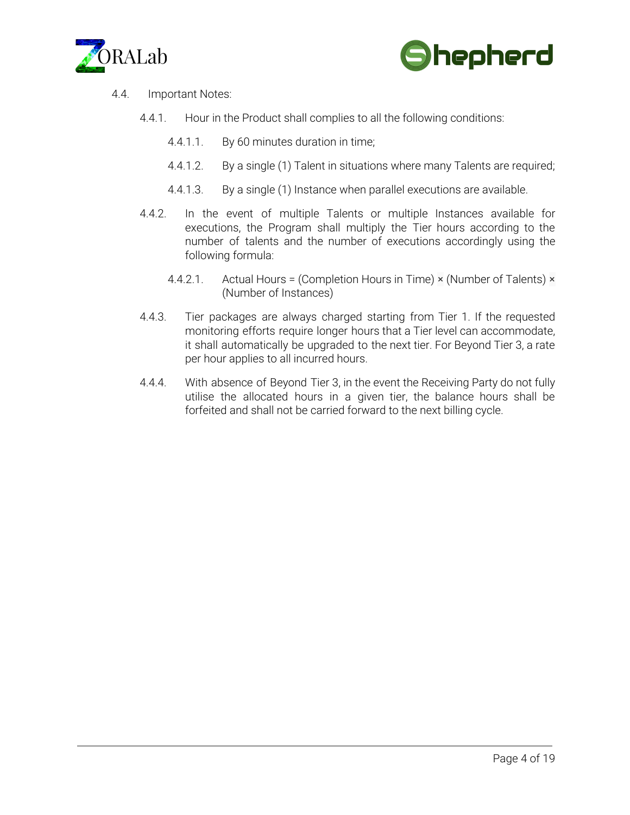



- 4.4. Important Notes:
	- 4.4.1. Hour in the Product shall complies to all the following conditions:
		- 4.4.1.1. By 60 minutes duration in time;
		- 4.4.1.2. By a single (1) Talent in situations where many Talents are required;
		- 4.4.1.3. By a single (1) Instance when parallel executions are available.
	- 4.4.2. In the event of multiple Talents or multiple Instances available for executions, the Program shall multiply the Tier hours according to the number of talents and the number of executions accordingly using the following formula:
		- 4.4.2.1. Actual Hours = (Completion Hours in Time)  $\times$  (Number of Talents)  $\times$ (Number of Instances)
	- 4.4.3. Tier packages are always charged starting from Tier 1. If the requested monitoring efforts require longer hours that a Tier level can accommodate, it shall automatically be upgraded to the next tier. For Beyond Tier 3, a rate per hour applies to all incurred hours.
	- 4.4.4. With absence of Beyond Tier 3, in the event the Receiving Party do not fully utilise the allocated hours in a given tier, the balance hours shall be forfeited and shall not be carried forward to the next billing cycle.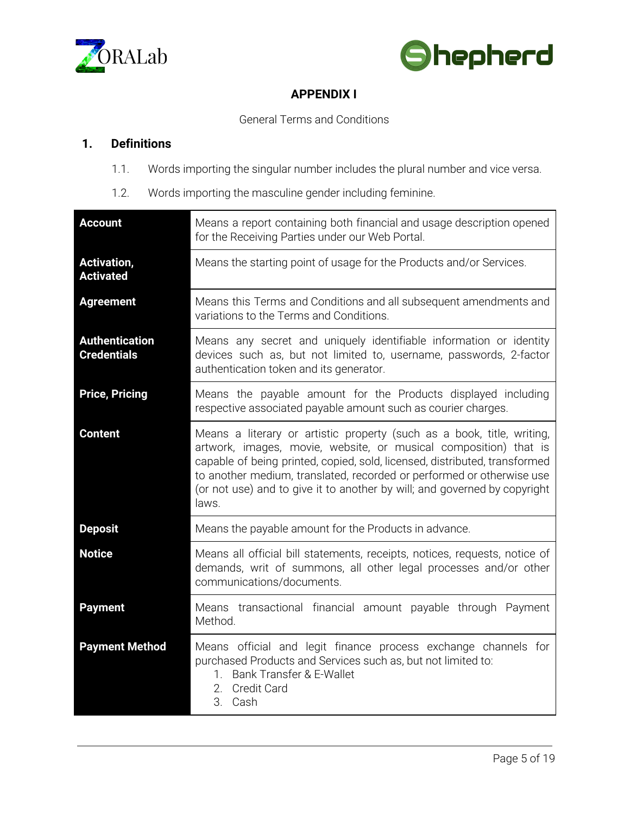



# **APPENDIX I**

General Terms and Conditions

# **1. Definitions**

- 1.1. Words importing the singular number includes the plural number and vice versa.
- 1.2. Words importing the masculine gender including feminine.

| <b>Account</b>                              | Means a report containing both financial and usage description opened<br>for the Receiving Parties under our Web Portal.                                                                                                                                                                                                                                                                |
|---------------------------------------------|-----------------------------------------------------------------------------------------------------------------------------------------------------------------------------------------------------------------------------------------------------------------------------------------------------------------------------------------------------------------------------------------|
| <b>Activation,</b><br><b>Activated</b>      | Means the starting point of usage for the Products and/or Services.                                                                                                                                                                                                                                                                                                                     |
| <b>Agreement</b>                            | Means this Terms and Conditions and all subsequent amendments and<br>variations to the Terms and Conditions.                                                                                                                                                                                                                                                                            |
| <b>Authentication</b><br><b>Credentials</b> | Means any secret and uniquely identifiable information or identity<br>devices such as, but not limited to, username, passwords, 2-factor<br>authentication token and its generator.                                                                                                                                                                                                     |
| <b>Price, Pricing</b>                       | Means the payable amount for the Products displayed including<br>respective associated payable amount such as courier charges.                                                                                                                                                                                                                                                          |
| <b>Content</b>                              | Means a literary or artistic property (such as a book, title, writing,<br>artwork, images, movie, website, or musical composition) that is<br>capable of being printed, copied, sold, licensed, distributed, transformed<br>to another medium, translated, recorded or performed or otherwise use<br>(or not use) and to give it to another by will; and governed by copyright<br>laws. |
| <b>Deposit</b>                              | Means the payable amount for the Products in advance.                                                                                                                                                                                                                                                                                                                                   |
| <b>Notice</b>                               | Means all official bill statements, receipts, notices, requests, notice of<br>demands, writ of summons, all other legal processes and/or other<br>communications/documents.                                                                                                                                                                                                             |
| <b>Payment</b>                              | Means transactional financial amount payable through Payment<br>Method.                                                                                                                                                                                                                                                                                                                 |
| <b>Payment Method</b>                       | Means official and legit finance process exchange channels for<br>purchased Products and Services such as, but not limited to:<br>Bank Transfer & E-Wallet<br>$1_{\cdot}$<br>2. Credit Card<br>3. Cash                                                                                                                                                                                  |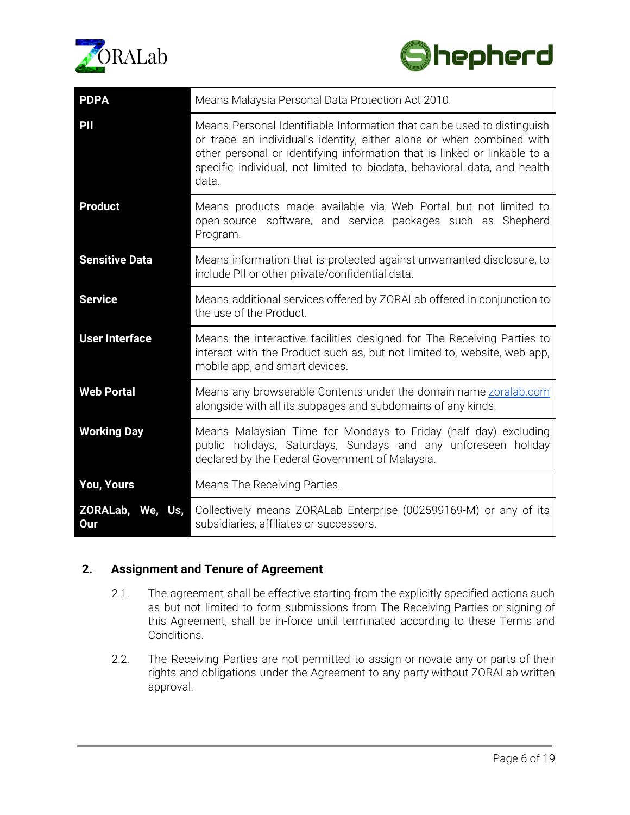



| <b>PDPA</b>             | Means Malaysia Personal Data Protection Act 2010.                                                                                                                                                                                                                                                                  |
|-------------------------|--------------------------------------------------------------------------------------------------------------------------------------------------------------------------------------------------------------------------------------------------------------------------------------------------------------------|
| PII                     | Means Personal Identifiable Information that can be used to distinguish<br>or trace an individual's identity, either alone or when combined with<br>other personal or identifying information that is linked or linkable to a<br>specific individual, not limited to biodata, behavioral data, and health<br>data. |
| <b>Product</b>          | Means products made available via Web Portal but not limited to<br>open-source software, and service packages such as Shepherd<br>Program.                                                                                                                                                                         |
| <b>Sensitive Data</b>   | Means information that is protected against unwarranted disclosure, to<br>include PII or other private/confidential data.                                                                                                                                                                                          |
| <b>Service</b>          | Means additional services offered by ZORALab offered in conjunction to<br>the use of the Product.                                                                                                                                                                                                                  |
| <b>User Interface</b>   | Means the interactive facilities designed for The Receiving Parties to<br>interact with the Product such as, but not limited to, website, web app,<br>mobile app, and smart devices.                                                                                                                               |
| <b>Web Portal</b>       | Means any browserable Contents under the domain name zoralab.com<br>alongside with all its subpages and subdomains of any kinds.                                                                                                                                                                                   |
| <b>Working Day</b>      | Means Malaysian Time for Mondays to Friday (half day) excluding<br>public holidays, Saturdays, Sundays and any unforeseen holiday<br>declared by the Federal Government of Malaysia.                                                                                                                               |
| You, Yours              | Means The Receiving Parties.                                                                                                                                                                                                                                                                                       |
| ZORALab, We, Us,<br>Our | Collectively means ZORALab Enterprise (002599169-M) or any of its<br>subsidiaries, affiliates or successors.                                                                                                                                                                                                       |

# **2. Assignment and Tenure of Agreement**

- 2.1. The agreement shall be effective starting from the explicitly specified actions such as but not limited to form submissions from The Receiving Parties or signing of this Agreement, shall be in-force until terminated according to these Terms and Conditions.
- 2.2. The Receiving Parties are not permitted to assign or novate any or parts of their rights and obligations under the Agreement to any party without ZORALab written approval.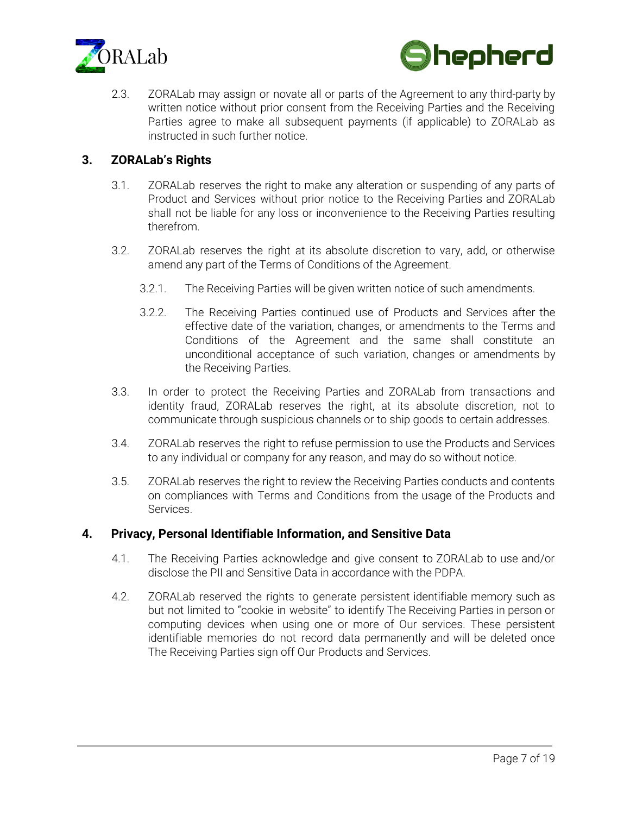



2.3. ZORALab may assign or novate all or parts of the Agreement to any third-party by written notice without prior consent from the Receiving Parties and the Receiving Parties agree to make all subsequent payments (if applicable) to ZORALab as instructed in such further notice.

# **3. ZORALab's Rights**

- 3.1. ZORALab reserves the right to make any alteration or suspending of any parts of Product and Services without prior notice to the Receiving Parties and ZORALab shall not be liable for any loss or inconvenience to the Receiving Parties resulting therefrom.
- 3.2. ZORALab reserves the right at its absolute discretion to vary, add, or otherwise amend any part of the Terms of Conditions of the Agreement.
	- 3.2.1. The Receiving Parties will be given written notice of such amendments.
	- 3.2.2. The Receiving Parties continued use of Products and Services after the effective date of the variation, changes, or amendments to the Terms and Conditions of the Agreement and the same shall constitute an unconditional acceptance of such variation, changes or amendments by the Receiving Parties.
- 3.3. In order to protect the Receiving Parties and ZORALab from transactions and identity fraud, ZORALab reserves the right, at its absolute discretion, not to communicate through suspicious channels or to ship goods to certain addresses.
- 3.4. ZORALab reserves the right to refuse permission to use the Products and Services to any individual or company for any reason, and may do so without notice.
- 3.5. ZORALab reserves the right to review the Receiving Parties conducts and contents on compliances with Terms and Conditions from the usage of the Products and Services.

## **4. Privacy, Personal Identifiable Information, and Sensitive Data**

- 4.1. The Receiving Parties acknowledge and give consent to ZORALab to use and/or disclose the PII and Sensitive Data in accordance with the PDPA.
- 4.2. ZORALab reserved the rights to generate persistent identifiable memory such as but not limited to "cookie in website" to identify The Receiving Parties in person or computing devices when using one or more of Our services. These persistent identifiable memories do not record data permanently and will be deleted once The Receiving Parties sign off Our Products and Services.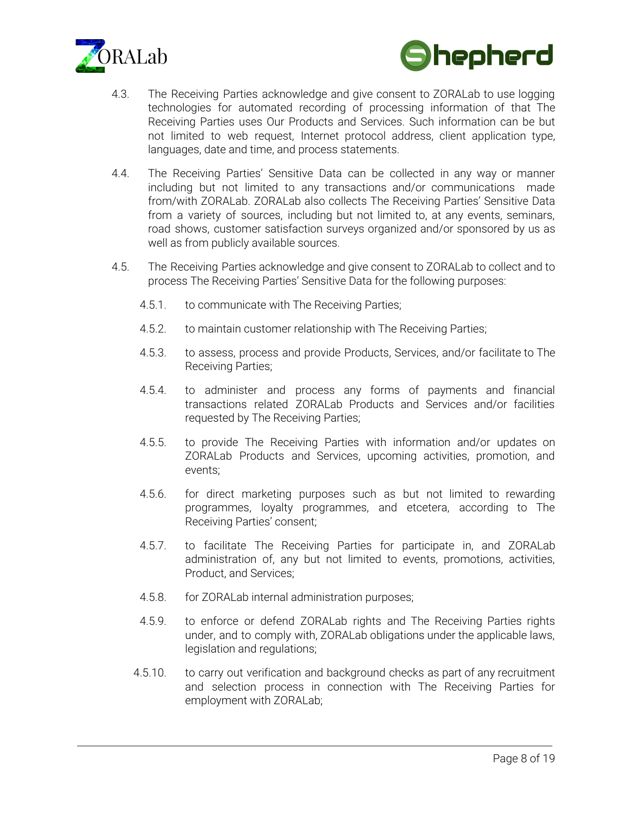



- 4.3. The Receiving Parties acknowledge and give consent to ZORALab to use logging technologies for automated recording of processing information of that The Receiving Parties uses Our Products and Services. Such information can be but not limited to web request, Internet protocol address, client application type, languages, date and time, and process statements.
- 4.4. The Receiving Parties' Sensitive Data can be collected in any way or manner including but not limited to any transactions and/or communications made from/with ZORALab. ZORALab also collects The Receiving Parties' Sensitive Data from a variety of sources, including but not limited to, at any events, seminars, road shows, customer satisfaction surveys organized and/or sponsored by us as well as from publicly available sources.
- 4.5. The Receiving Parties acknowledge and give consent to ZORALab to collect and to process The Receiving Parties' Sensitive Data for the following purposes:
	- 4.5.1. to communicate with The Receiving Parties;
	- 4.5.2. to maintain customer relationship with The Receiving Parties;
	- 4.5.3. to assess, process and provide Products, Services, and/or facilitate to The Receiving Parties;
	- 4.5.4. to administer and process any forms of payments and financial transactions related ZORALab Products and Services and/or facilities requested by The Receiving Parties;
	- 4.5.5. to provide The Receiving Parties with information and/or updates on ZORALab Products and Services, upcoming activities, promotion, and events;
	- 4.5.6. for direct marketing purposes such as but not limited to rewarding programmes, loyalty programmes, and etcetera, according to The Receiving Parties' consent;
	- 4.5.7. to facilitate The Receiving Parties for participate in, and ZORALab administration of, any but not limited to events, promotions, activities, Product, and Services;
	- 4.5.8. for ZORALab internal administration purposes;
	- 4.5.9. to enforce or defend ZORALab rights and The Receiving Parties rights under, and to comply with, ZORALab obligations under the applicable laws, legislation and regulations;
	- 4.5.10. to carry out verification and background checks as part of any recruitment and selection process in connection with The Receiving Parties for employment with ZORALab;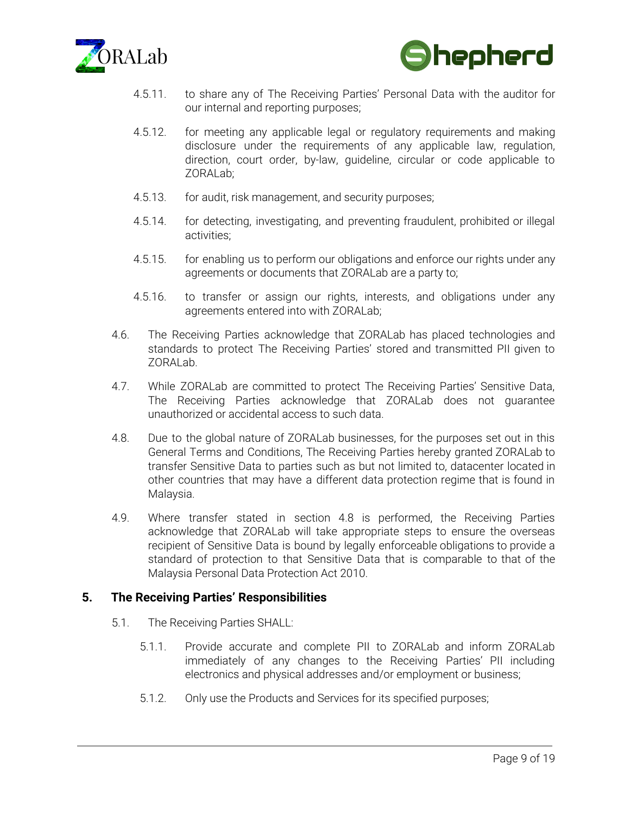



- 4.5.11. to share any of The Receiving Parties' Personal Data with the auditor for our internal and reporting purposes;
- 4.5.12. for meeting any applicable legal or regulatory requirements and making disclosure under the requirements of any applicable law, regulation, direction, court order, by-law, guideline, circular or code applicable to ZORALab;
- 4.5.13. for audit, risk management, and security purposes;
- 4.5.14. for detecting, investigating, and preventing fraudulent, prohibited or illegal activities;
- 4.5.15. for enabling us to perform our obligations and enforce our rights under any agreements or documents that ZORALab are a party to;
- 4.5.16. to transfer or assign our rights, interests, and obligations under any agreements entered into with ZORALab;
- 4.6. The Receiving Parties acknowledge that ZORALab has placed technologies and standards to protect The Receiving Parties' stored and transmitted PII given to ZORALab.
- 4.7. While ZORALab are committed to protect The Receiving Parties' Sensitive Data, The Receiving Parties acknowledge that ZORALab does not guarantee unauthorized or accidental access to such data.
- 4.8. Due to the global nature of ZORALab businesses, for the purposes set out in this General Terms and Conditions, The Receiving Parties hereby granted ZORALab to transfer Sensitive Data to parties such as but not limited to, datacenter located in other countries that may have a different data protection regime that is found in Malaysia.
- 4.9. Where transfer stated in section 4.8 is performed, the Receiving Parties acknowledge that ZORALab will take appropriate steps to ensure the overseas recipient of Sensitive Data is bound by legally enforceable obligations to provide a standard of protection to that Sensitive Data that is comparable to that of the Malaysia Personal Data Protection Act 2010.

#### **5. The Receiving Parties' Responsibilities**

- 5.1. The Receiving Parties SHALL:
	- 5.1.1. Provide accurate and complete PII to ZORALab and inform ZORALab immediately of any changes to the Receiving Parties' PII including electronics and physical addresses and/or employment or business;
	- 5.1.2. Only use the Products and Services for its specified purposes;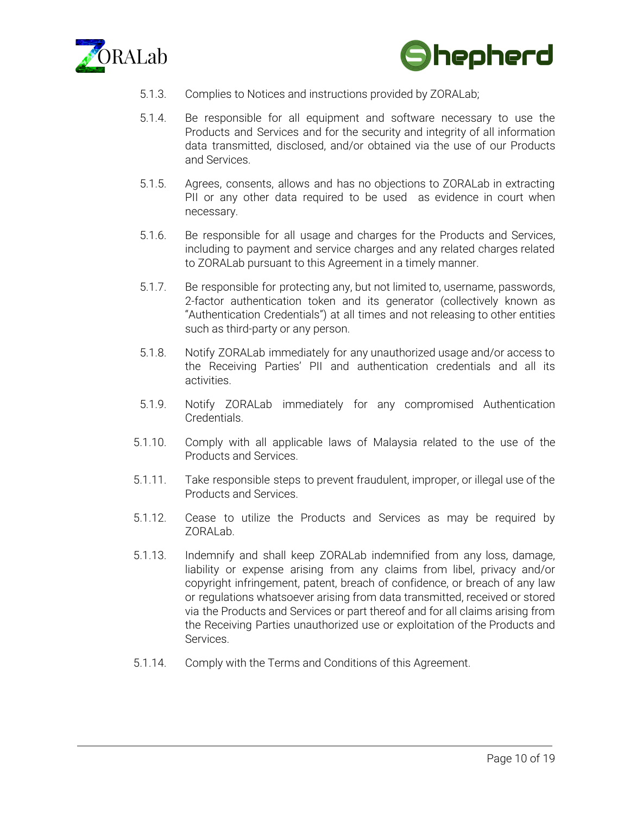



- 5.1.3. Complies to Notices and instructions provided by ZORALab;
- 5.1.4. Be responsible for all equipment and software necessary to use the Products and Services and for the security and integrity of all information data transmitted, disclosed, and/or obtained via the use of our Products and Services.
- 5.1.5. Agrees, consents, allows and has no objections to ZORALab in extracting PII or any other data required to be used as evidence in court when necessary.
- 5.1.6. Be responsible for all usage and charges for the Products and Services, including to payment and service charges and any related charges related to ZORALab pursuant to this Agreement in a timely manner.
- 5.1.7. Be responsible for protecting any, but not limited to, username, passwords, 2-factor authentication token and its generator (collectively known as "Authentication Credentials") at all times and not releasing to other entities such as third-party or any person.
- 5.1.8. Notify ZORALab immediately for any unauthorized usage and/or access to the Receiving Parties' PII and authentication credentials and all its activities.
- 5.1.9. Notify ZORALab immediately for any compromised Authentication Credentials.
- 5.1.10. Comply with all applicable laws of Malaysia related to the use of the Products and Services.
- 5.1.11. Take responsible steps to prevent fraudulent, improper, or illegal use of the Products and Services.
- 5.1.12. Cease to utilize the Products and Services as may be required by ZORALab.
- 5.1.13. Indemnify and shall keep ZORALab indemnified from any loss, damage, liability or expense arising from any claims from libel, privacy and/or copyright infringement, patent, breach of confidence, or breach of any law or regulations whatsoever arising from data transmitted, received or stored via the Products and Services or part thereof and for all claims arising from the Receiving Parties unauthorized use or exploitation of the Products and Services.
- 5.1.14. Comply with the Terms and Conditions of this Agreement.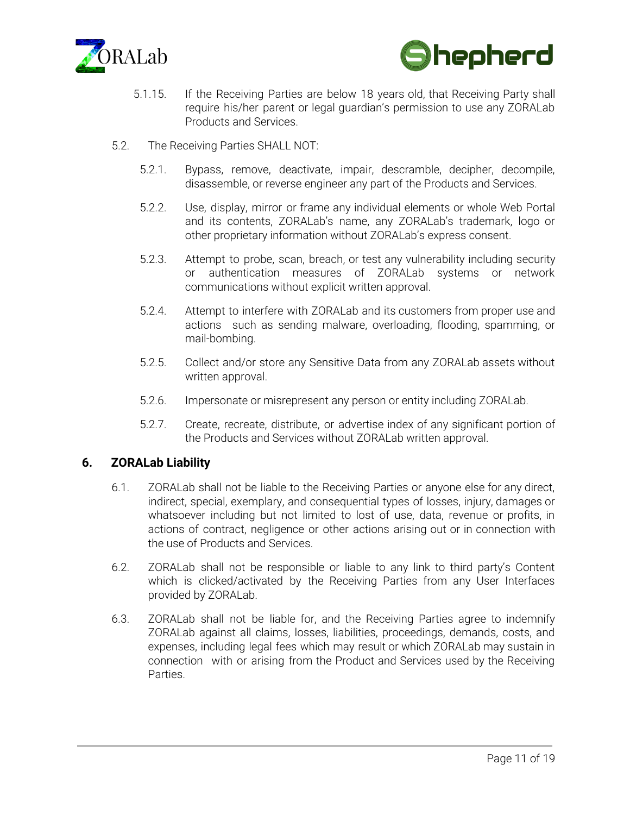



- 5.1.15. If the Receiving Parties are below 18 years old, that Receiving Party shall require his/her parent or legal guardian's permission to use any ZORALab Products and Services.
- 5.2. The Receiving Parties SHALL NOT:
	- 5.2.1. Bypass, remove, deactivate, impair, descramble, decipher, decompile, disassemble, or reverse engineer any part of the Products and Services.
	- 5.2.2. Use, display, mirror or frame any individual elements or whole Web Portal and its contents, ZORALab's name, any ZORALab's trademark, logo or other proprietary information without ZORALab's express consent.
	- 5.2.3. Attempt to probe, scan, breach, or test any vulnerability including security or authentication measures of ZORALab systems or network communications without explicit written approval.
	- 5.2.4. Attempt to interfere with ZORALab and its customers from proper use and actions such as sending malware, overloading, flooding, spamming, or mail-bombing.
	- 5.2.5. Collect and/or store any Sensitive Data from any ZORALab assets without written approval.
	- 5.2.6. Impersonate or misrepresent any person or entity including ZORALab.
	- 5.2.7. Create, recreate, distribute, or advertise index of any significant portion of the Products and Services without ZORALab written approval.

## **6. ZORALab Liability**

- 6.1. ZORALab shall not be liable to the Receiving Parties or anyone else for any direct, indirect, special, exemplary, and consequential types of losses, injury, damages or whatsoever including but not limited to lost of use, data, revenue or profits, in actions of contract, negligence or other actions arising out or in connection with the use of Products and Services.
- 6.2. ZORALab shall not be responsible or liable to any link to third party's Content which is clicked/activated by the Receiving Parties from any User Interfaces provided by ZORALab.
- 6.3. ZORALab shall not be liable for, and the Receiving Parties agree to indemnify ZORALab against all claims, losses, liabilities, proceedings, demands, costs, and expenses, including legal fees which may result or which ZORALab may sustain in connection with or arising from the Product and Services used by the Receiving Parties.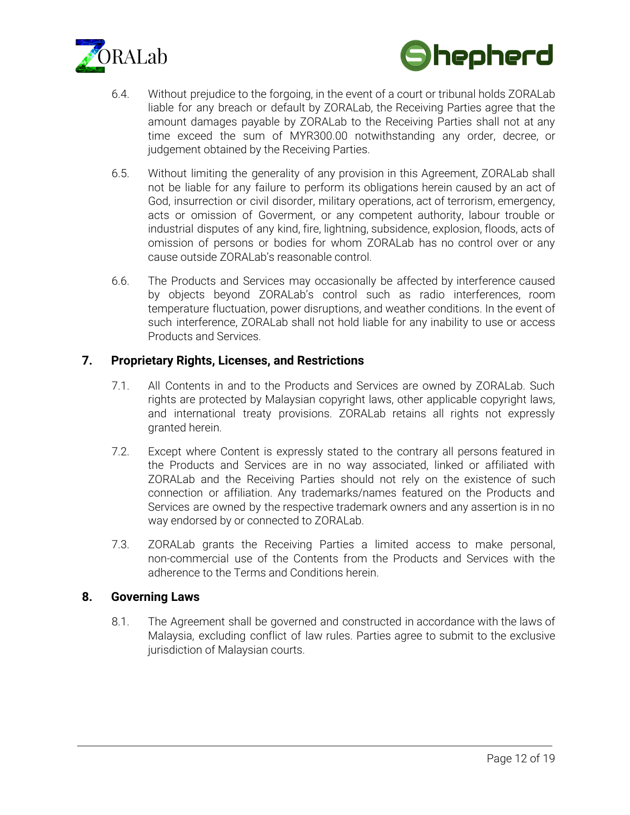



- 6.4. Without prejudice to the forgoing, in the event of a court or tribunal holds ZORALab liable for any breach or default by ZORALab, the Receiving Parties agree that the amount damages payable by ZORALab to the Receiving Parties shall not at any time exceed the sum of MYR300.00 notwithstanding any order, decree, or judgement obtained by the Receiving Parties.
- 6.5. Without limiting the generality of any provision in this Agreement, ZORALab shall not be liable for any failure to perform its obligations herein caused by an act of God, insurrection or civil disorder, military operations, act of terrorism, emergency, acts or omission of Goverment, or any competent authority, labour trouble or industrial disputes of any kind, fire, lightning, subsidence, explosion, floods, acts of omission of persons or bodies for whom ZORALab has no control over or any cause outside ZORALab's reasonable control.
- 6.6. The Products and Services may occasionally be affected by interference caused by objects beyond ZORALab's control such as radio interferences, room temperature fluctuation, power disruptions, and weather conditions. In the event of such interference, ZORALab shall not hold liable for any inability to use or access Products and Services.

## **7. Proprietary Rights, Licenses, and Restrictions**

- 7.1. All Contents in and to the Products and Services are owned by ZORALab. Such rights are protected by Malaysian copyright laws, other applicable copyright laws, and international treaty provisions. ZORALab retains all rights not expressly granted herein.
- 7.2. Except where Content is expressly stated to the contrary all persons featured in the Products and Services are in no way associated, linked or affiliated with ZORALab and the Receiving Parties should not rely on the existence of such connection or affiliation. Any trademarks/names featured on the Products and Services are owned by the respective trademark owners and any assertion is in no way endorsed by or connected to ZORALab.
- 7.3. ZORALab grants the Receiving Parties a limited access to make personal, non-commercial use of the Contents from the Products and Services with the adherence to the Terms and Conditions herein.

#### **8. Governing Laws**

8.1. The Agreement shall be governed and constructed in accordance with the laws of Malaysia, excluding conflict of law rules. Parties agree to submit to the exclusive jurisdiction of Malaysian courts.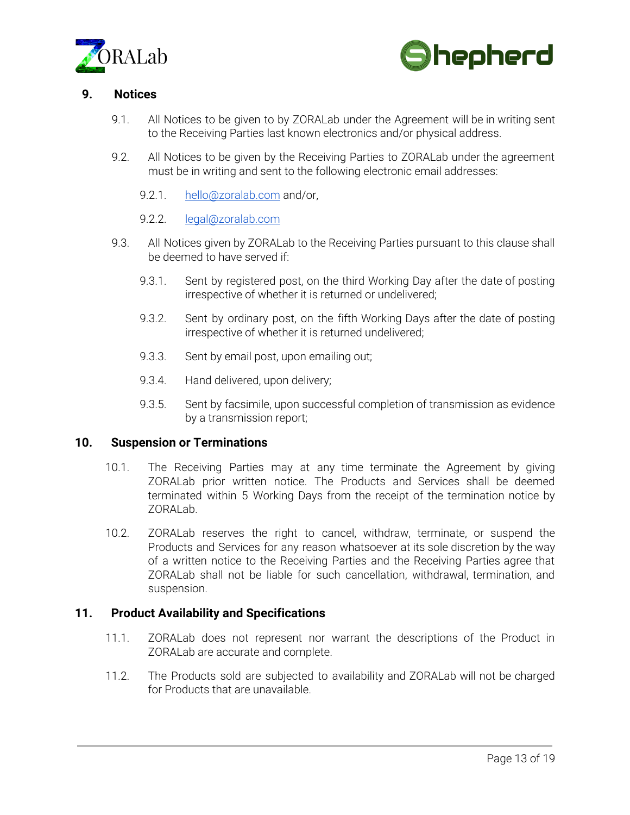



## **9. Notices**

- 9.1. All Notices to be given to by ZORALab under the Agreement will be in writing sent to the Receiving Parties last known electronics and/or physical address.
- 9.2. All Notices to be given by the Receiving Parties to ZORALab under the agreement must be in writing and sent to the following electronic email addresses:
	- 9.2.1. [hello@zoralab.com](mailto:hello@zoralab.com) and/or,
	- 9.2.2. [legal@zoralab.com](mailto:legal@zoralab.com)
- 9.3. All Notices given by ZORALab to the Receiving Parties pursuant to this clause shall be deemed to have served if:
	- 9.3.1. Sent by registered post, on the third Working Day after the date of posting irrespective of whether it is returned or undelivered;
	- 9.3.2. Sent by ordinary post, on the fifth Working Days after the date of posting irrespective of whether it is returned undelivered;
	- 9.3.3. Sent by email post, upon emailing out;
	- 9.3.4. Hand delivered, upon delivery;
	- 9.3.5. Sent by facsimile, upon successful completion of transmission as evidence by a transmission report;

#### **10. Suspension or Terminations**

- 10.1. The Receiving Parties may at any time terminate the Agreement by giving ZORALab prior written notice. The Products and Services shall be deemed terminated within 5 Working Days from the receipt of the termination notice by ZORALab.
- 10.2. ZORALab reserves the right to cancel, withdraw, terminate, or suspend the Products and Services for any reason whatsoever at its sole discretion by the way of a written notice to the Receiving Parties and the Receiving Parties agree that ZORALab shall not be liable for such cancellation, withdrawal, termination, and suspension.

#### **11. Product Availability and Specifications**

- 11.1. ZORALab does not represent nor warrant the descriptions of the Product in ZORALab are accurate and complete.
- 11.2. The Products sold are subjected to availability and ZORALab will not be charged for Products that are unavailable.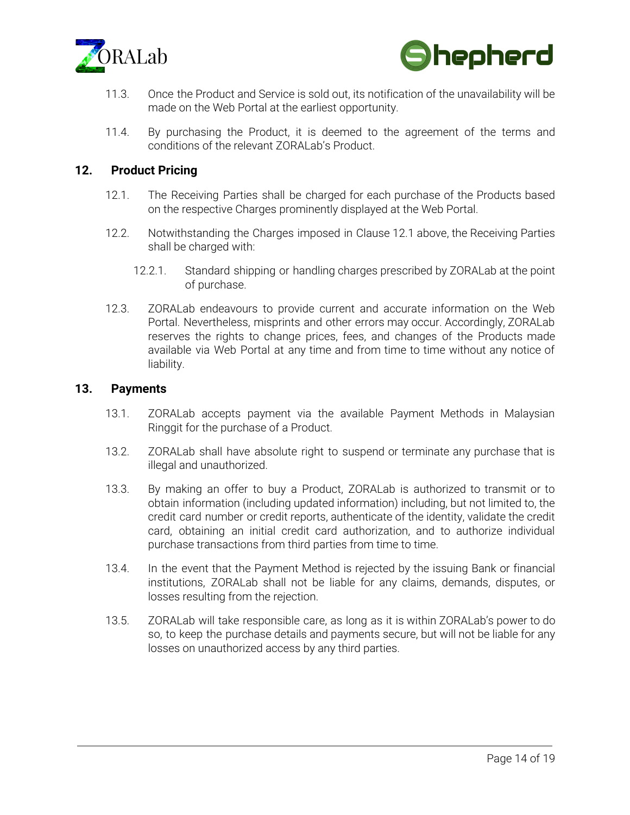



- 11.3. Once the Product and Service is sold out, its notification of the unavailability will be made on the Web Portal at the earliest opportunity.
- 11.4. By purchasing the Product, it is deemed to the agreement of the terms and conditions of the relevant ZORALab's Product.

## **12. Product Pricing**

- 12.1. The Receiving Parties shall be charged for each purchase of the Products based on the respective Charges prominently displayed at the Web Portal.
- 12.2. Notwithstanding the Charges imposed in Clause 12.1 above, the Receiving Parties shall be charged with:
	- 12.2.1. Standard shipping or handling charges prescribed by ZORALab at the point of purchase.
- 12.3. ZORALab endeavours to provide current and accurate information on the Web Portal. Nevertheless, misprints and other errors may occur. Accordingly, ZORALab reserves the rights to change prices, fees, and changes of the Products made available via Web Portal at any time and from time to time without any notice of liability.

#### **13. Payments**

- 13.1. ZORALab accepts payment via the available Payment Methods in Malaysian Ringgit for the purchase of a Product.
- 13.2. ZORALab shall have absolute right to suspend or terminate any purchase that is illegal and unauthorized.
- 13.3. By making an offer to buy a Product, ZORALab is authorized to transmit or to obtain information (including updated information) including, but not limited to, the credit card number or credit reports, authenticate of the identity, validate the credit card, obtaining an initial credit card authorization, and to authorize individual purchase transactions from third parties from time to time.
- 13.4. In the event that the Payment Method is rejected by the issuing Bank or financial institutions, ZORALab shall not be liable for any claims, demands, disputes, or losses resulting from the rejection.
- 13.5. ZORALab will take responsible care, as long as it is within ZORALab's power to do so, to keep the purchase details and payments secure, but will not be liable for any losses on unauthorized access by any third parties.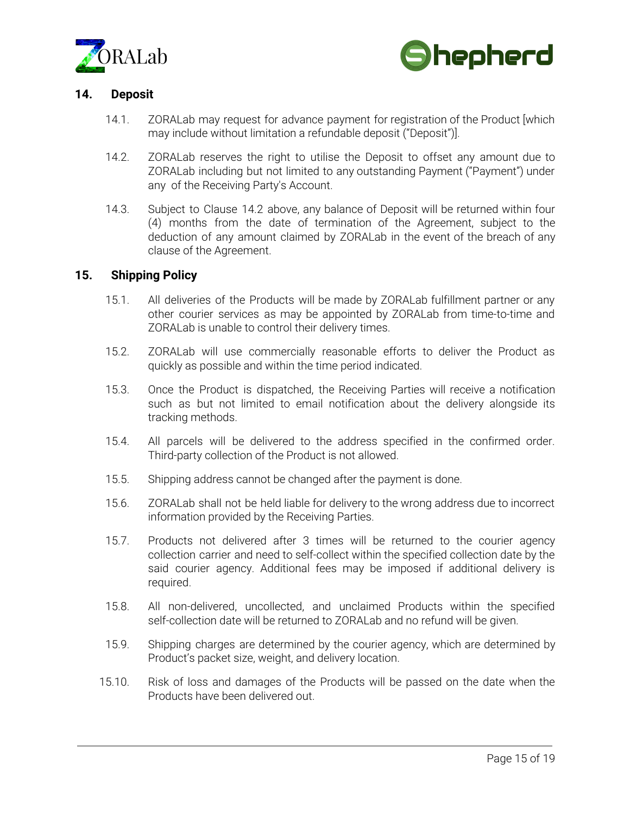



## **14. Deposit**

- 14.1. ZORALab may request for advance payment for registration of the Product [which may include without limitation a refundable deposit ("Deposit")].
- 14.2. ZORALab reserves the right to utilise the Deposit to offset any amount due to ZORALab including but not limited to any outstanding Payment ("Payment") under any of the Receiving Party's Account.
- 14.3. Subject to Clause 14.2 above, any balance of Deposit will be returned within four (4) months from the date of termination of the Agreement, subject to the deduction of any amount claimed by ZORALab in the event of the breach of any clause of the Agreement.

### **15. Shipping Policy**

- 15.1. All deliveries of the Products will be made by ZORALab fulfillment partner or any other courier services as may be appointed by ZORALab from time-to-time and ZORALab is unable to control their delivery times.
- 15.2. ZORALab will use commercially reasonable efforts to deliver the Product as quickly as possible and within the time period indicated.
- 15.3. Once the Product is dispatched, the Receiving Parties will receive a notification such as but not limited to email notification about the delivery alongside its tracking methods.
- 15.4. All parcels will be delivered to the address specified in the confirmed order. Third-party collection of the Product is not allowed.
- 15.5. Shipping address cannot be changed after the payment is done.
- 15.6. ZORALab shall not be held liable for delivery to the wrong address due to incorrect information provided by the Receiving Parties.
- 15.7. Products not delivered after 3 times will be returned to the courier agency collection carrier and need to self-collect within the specified collection date by the said courier agency. Additional fees may be imposed if additional delivery is required.
- 15.8. All non-delivered, uncollected, and unclaimed Products within the specified self-collection date will be returned to ZORALab and no refund will be given.
- 15.9. Shipping charges are determined by the courier agency, which are determined by Product's packet size, weight, and delivery location.
- 15.10. Risk of loss and damages of the Products will be passed on the date when the Products have been delivered out.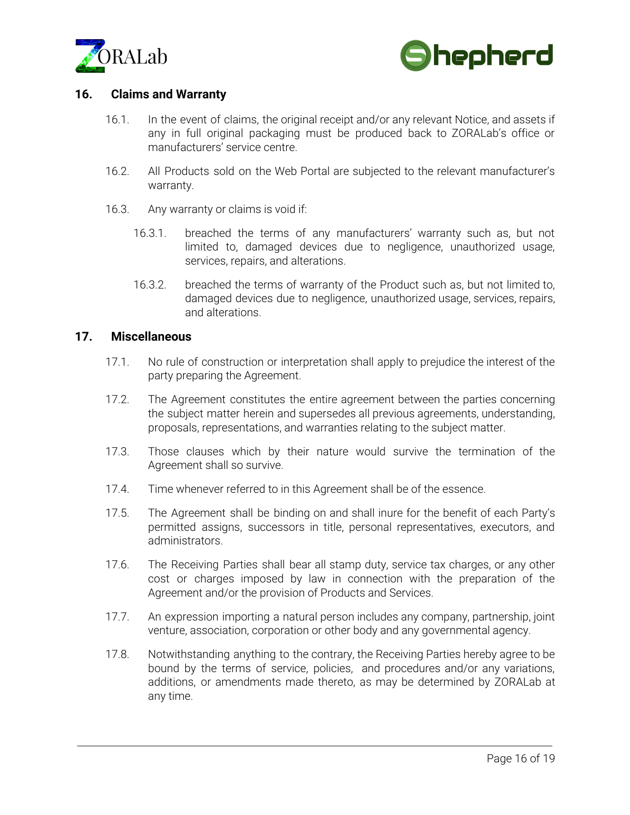



### **16. Claims and Warranty**

- 16.1. In the event of claims, the original receipt and/or any relevant Notice, and assets if any in full original packaging must be produced back to ZORALab's office or manufacturers' service centre.
- 16.2. All Products sold on the Web Portal are subjected to the relevant manufacturer's warranty.
- 16.3. Any warranty or claims is void if:
	- 16.3.1. breached the terms of any manufacturers' warranty such as, but not limited to, damaged devices due to negligence, unauthorized usage, services, repairs, and alterations.
	- 16.3.2. breached the terms of warranty of the Product such as, but not limited to, damaged devices due to negligence, unauthorized usage, services, repairs, and alterations.

### **17. Miscellaneous**

- 17.1. No rule of construction or interpretation shall apply to prejudice the interest of the party preparing the Agreement.
- 17.2. The Agreement constitutes the entire agreement between the parties concerning the subject matter herein and supersedes all previous agreements, understanding, proposals, representations, and warranties relating to the subject matter.
- 17.3. Those clauses which by their nature would survive the termination of the Agreement shall so survive.
- 17.4. Time whenever referred to in this Agreement shall be of the essence.
- 17.5. The Agreement shall be binding on and shall inure for the benefit of each Party's permitted assigns, successors in title, personal representatives, executors, and administrators.
- 17.6. The Receiving Parties shall bear all stamp duty, service tax charges, or any other cost or charges imposed by law in connection with the preparation of the Agreement and/or the provision of Products and Services.
- 17.7. An expression importing a natural person includes any company, partnership, joint venture, association, corporation or other body and any governmental agency.
- 17.8. Notwithstanding anything to the contrary, the Receiving Parties hereby agree to be bound by the terms of service, policies, and procedures and/or any variations, additions, or amendments made thereto, as may be determined by ZORALab at any time.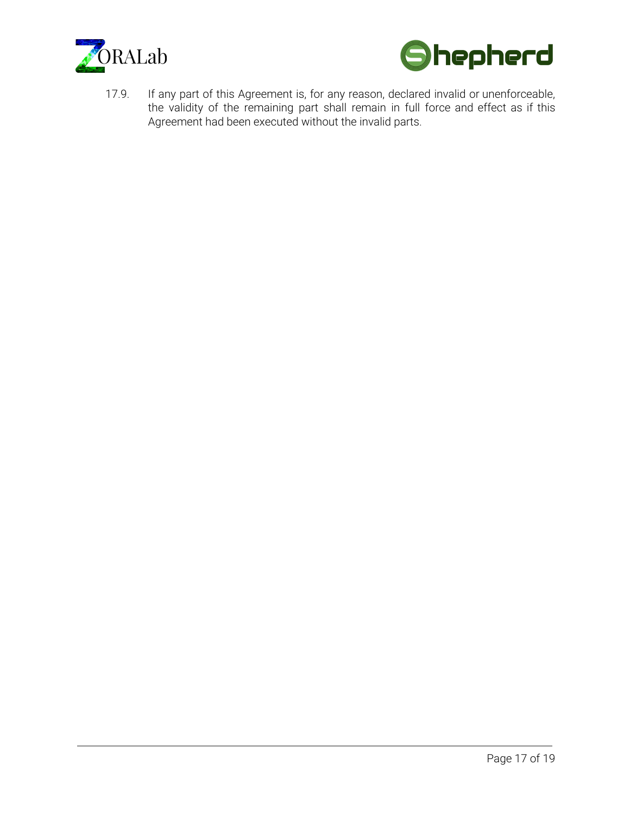



17.9. If any part of this Agreement is, for any reason, declared invalid or unenforceable, the validity of the remaining part shall remain in full force and effect as if this Agreement had been executed without the invalid parts.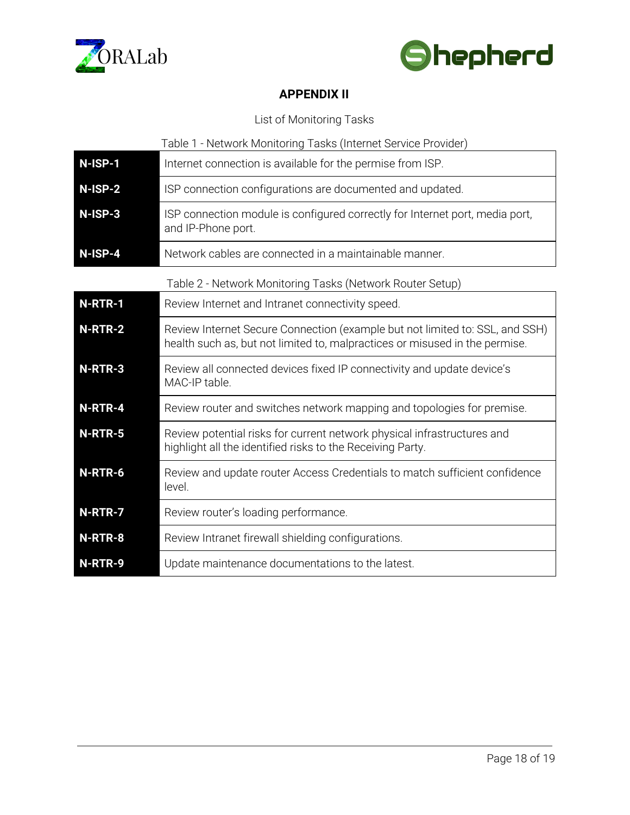



# **APPENDIX II**

# List of Monitoring Tasks

|           | Table 1 - Network Monitoring Tasks (Internet Service Provider)                                                                                              |
|-----------|-------------------------------------------------------------------------------------------------------------------------------------------------------------|
| $N-ISP-1$ | Internet connection is available for the permise from ISP.                                                                                                  |
| N-ISP-2   | ISP connection configurations are documented and updated.                                                                                                   |
| N-ISP-3   | ISP connection module is configured correctly for Internet port, media port,<br>and IP-Phone port.                                                          |
| N-ISP-4   | Network cables are connected in a maintainable manner.                                                                                                      |
|           | Table 2 - Network Monitoring Tasks (Network Router Setup)                                                                                                   |
| N-RTR-1   | Review Internet and Intranet connectivity speed.                                                                                                            |
| N-RTR-2   | Review Internet Secure Connection (example but not limited to: SSL, and SSH)<br>health such as, but not limited to, malpractices or misused in the permise. |
| N-RTR-3   | Review all connected devices fixed IP connectivity and update device's<br>MAC-IP table.                                                                     |
| N-RTR-4   | Review router and switches network mapping and topologies for premise.                                                                                      |
| N-RTR-5   | Review potential risks for current network physical infrastructures and<br>highlight all the identified risks to the Receiving Party.                       |
| N-RTR-6   | Review and update router Access Credentials to match sufficient confidence<br>level.                                                                        |
| N-RTR-7   | Review router's loading performance.                                                                                                                        |
| N-RTR-8   | Review Intranet firewall shielding configurations.                                                                                                          |
| N-RTR-9   | Update maintenance documentations to the latest.                                                                                                            |